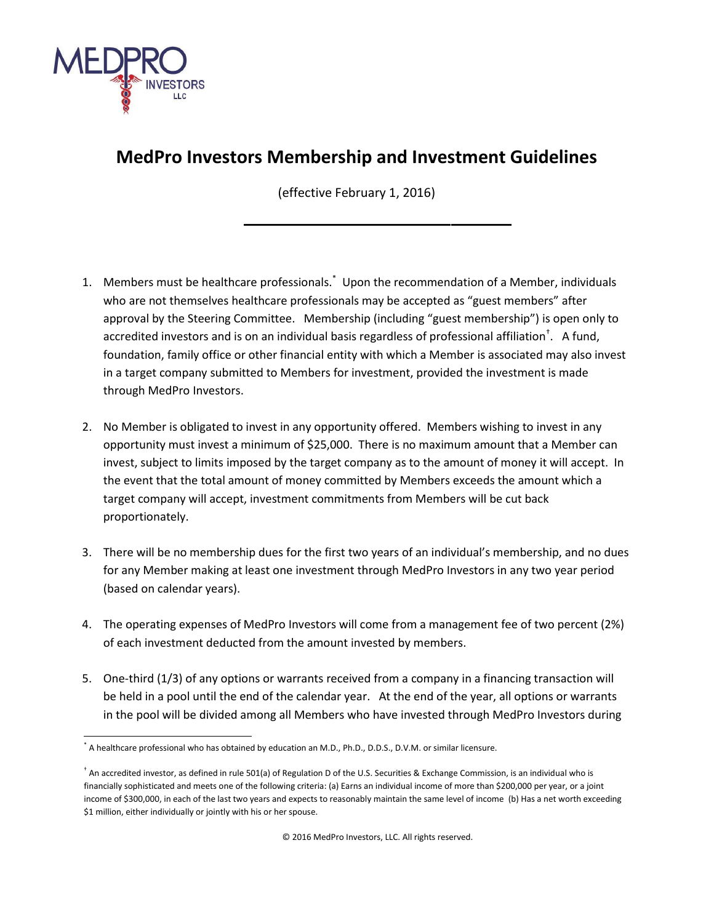

## **MedPro Investors Membership and Investment Guidelines**

(effective February 1, 2016)

**\_\_\_\_\_\_\_\_\_\_\_\_\_\_\_\_\_\_\_\_\_\_\_\_\_\_\_\_\_\_\_**

- 1. Members must be healthcare professionals.\* Upon the recommendation of a Member, individuals who are not themselves healthcare professionals may be accepted as "guest members" after approval by the Steering Committee. Membership (including "guest membership") is open only to accredited investors and is on an individual basis regardless of professional affiliation $^{\dagger}$ . A fund, foundation, family office or other financial entity with which a Member is associated may also invest in a target company submitted to Members for investment, provided the investment is made through MedPro Investors.
- 2. No Member is obligated to invest in any opportunity offered. Members wishing to invest in any opportunity must invest a minimum of \$25,000. There is no maximum amount that a Member can invest, subject to limits imposed by the target company as to the amount of money it will accept. In the event that the total amount of money committed by Members exceeds the amount which a target company will accept, investment commitments from Members will be cut back proportionately.
- 3. There will be no membership dues for the first two years of an individual's membership, and no dues for any Member making at least one investment through MedPro Investors in any two year period (based on calendar years).
- 4. The operating expenses of MedPro Investors will come from a management fee of two percent (2%) of each investment deducted from the amount invested by members.
- 5. One-third (1/3) of any options or warrants received from a company in a financing transaction will be held in a pool until the end of the calendar year. At the end of the year, all options or warrants in the pool will be divided among all Members who have invested through MedPro Investors during

 $\overline{a}$ \* A healthcare professional who has obtained by education an M.D., Ph.D., D.D.S., D.V.M. or similar licensure.

<sup>†</sup> An accredited investor, as defined in rule 501(a) of Regulation D of the U.S. Securities & Exchange Commission, is an individual who is financially sophisticated and meets one of the following criteria: (a) Earns an individual income of more than \$200,000 per year, or a joint income of \$300,000, in each of the last two years and expects to reasonably maintain the same level of income (b) Has a net worth exceeding \$1 million, either individually or jointly with his or her spouse.